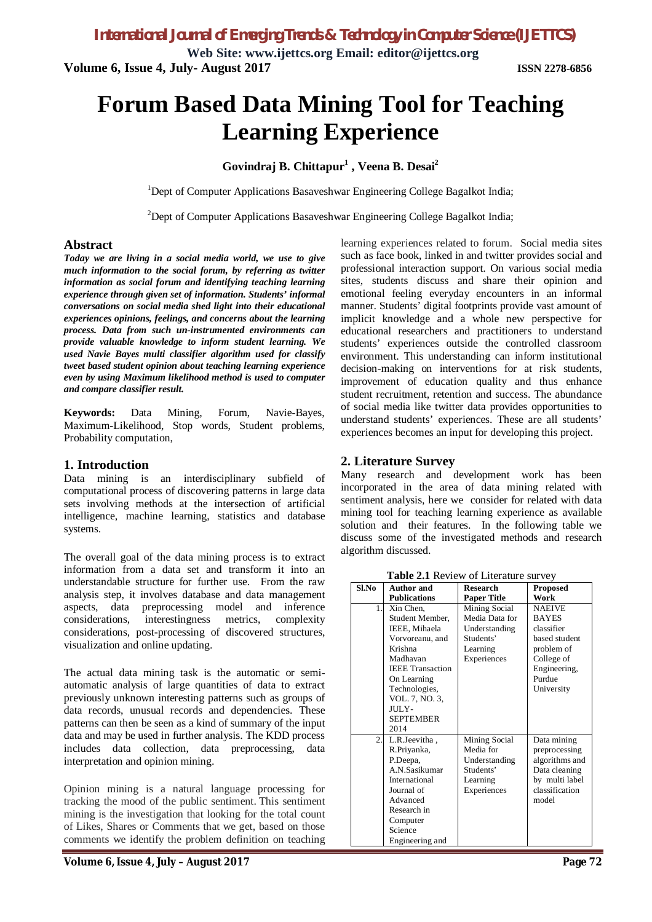**Web Site: www.ijettcs.org Email: editor@ijettcs.org Volume 6, Issue 4, July- August 2017 ISSN 2278-6856**

# **Forum Based Data Mining Tool for Teaching Learning Experience**

## **Govindraj B. Chittapur<sup>1</sup> , Veena B. Desai<sup>2</sup>**

<sup>1</sup>Dept of Computer Applications Basaveshwar Engineering College Bagalkot India;

 $2$ Dept of Computer Applications Basaveshwar Engineering College Bagalkot India;

## **Abstract**

*Today we are living in a social media world, we use to give much information to the social forum, by referring as twitter information as social forum and identifying teaching learning experience through given set of information. Students' informal conversations on social media shed light into their educational experiences opinions, feelings, and concerns about the learning process. Data from such un-instrumented environments can provide valuable knowledge to inform student learning. We used Navie Bayes multi classifier algorithm used for classify tweet based student opinion about teaching learning experience even by using Maximum likelihood method is used to computer and compare classifier result.* 

**Keywords:** Data Mining, Forum, Navie-Bayes, Maximum-Likelihood, Stop words, Student problems, Probability computation,

## **1. Introduction**

Data mining is an interdisciplinary subfield of computational process of discovering patterns in large data sets involving methods at the intersection of artificial intelligence, machine learning, statistics and database systems.

The overall goal of the data mining process is to extract information from a data set and transform it into an understandable structure for further use. From the raw analysis step, it involves database and data management aspects, data preprocessing model and inference considerations, interestingness metrics, complexity considerations, post-processing of discovered structures, visualization and online updating.

The actual data mining task is the automatic or semiautomatic analysis of large quantities of data to extract previously unknown interesting patterns such as groups of data records, unusual records and dependencies. These patterns can then be seen as a kind of summary of the input data and may be used in further analysis. The KDD process includes data collection, data preprocessing, data interpretation and opinion mining.

Opinion mining is a natural language processing for tracking the mood of the public sentiment. This sentiment mining is the investigation that looking for the total count of Likes, Shares or Comments that we get, based on those comments we identify the problem definition on teaching

**Volume 6, Issue 4, July – August 2017 Page 72**

learning experiences related to forum. Social media sites such as face book, linked in and twitter provides social and professional interaction support. On various social media sites, students discuss and share their opinion and emotional feeling everyday encounters in an informal manner. Students' digital footprints provide vast amount of implicit knowledge and a whole new perspective for educational researchers and practitioners to understand students' experiences outside the controlled classroom environment. This understanding can inform institutional decision-making on interventions for at risk students, improvement of education quality and thus enhance student recruitment, retention and success. The abundance of social media like twitter data provides opportunities to understand students' experiences. These are all students' experiences becomes an input for developing this project.

## **2. Literature Survey**

Many research and development work has been incorporated in the area of data mining related with sentiment analysis, here we consider for related with data mining tool for teaching learning experience as available solution and their features. In the following table we discuss some of the investigated methods and research algorithm discussed.

**Table 2.1** Review of Literature survey

| Sl.No | <b>Author</b> and       | <b>Research</b>    | <b>Proposed</b> |
|-------|-------------------------|--------------------|-----------------|
|       | <b>Publications</b>     | <b>Paper Title</b> | Work            |
| 1.    | Xin Chen.               | Mining Social      | <b>NAEIVE</b>   |
|       | Student Member,         | Media Data for     | <b>BAYES</b>    |
|       | IEEE, Mihaela           | Understanding      | classifier      |
|       | Vorvoreanu, and         | Students'          | based student   |
|       | Krishna                 | Learning           | problem of      |
|       | Madhavan                | Experiences        | College of      |
|       | <b>IEEE</b> Transaction |                    | Engineering,    |
|       | On Learning             |                    | Purdue          |
|       | Technologies,           |                    | University      |
|       | VOL. 7, NO. 3,          |                    |                 |
|       | JULY-                   |                    |                 |
|       | <b>SEPTEMBER</b>        |                    |                 |
|       | 2014                    |                    |                 |
| 2.    | L.R.Jeevitha,           | Mining Social      | Data mining     |
|       | R.Priyanka,             | Media for          | preprocessing   |
|       | P.Deepa,                | Understanding      | algorithms and  |
|       | A.N.Sasikumar           | Students'          | Data cleaning   |
|       | International           | Learning           | by multi label  |
|       | Journal of              | Experiences        | classification  |
|       | Advanced                |                    | model           |
|       | Research in             |                    |                 |
|       | Computer                |                    |                 |
|       | Science                 |                    |                 |
|       | Engineering and         |                    |                 |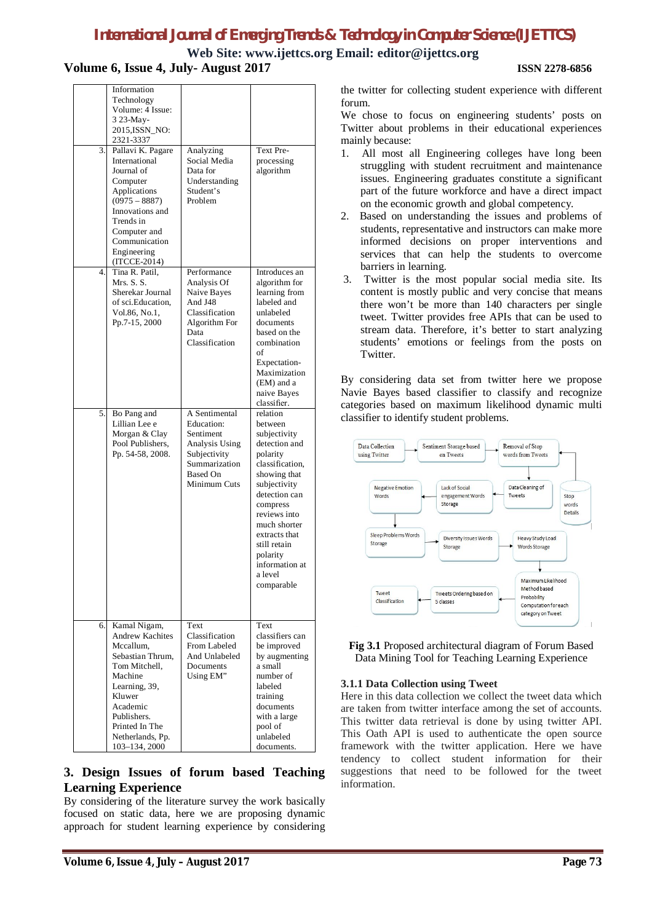**Web Site: www.ijettcs.org Email: editor@ijettcs.org Volume 6, Issue 4, July- August 2017 ISSN 2278-6856**

| 3. | Information<br>Technology<br>Volume: 4 Issue:<br>3 23-May-<br>2015, ISSN_NO:<br>2321-3337<br>Pallavi K. Pagare<br>International<br>Journal of<br>Computer<br>Applications<br>$(0975 - 8887)$<br>Innovations and<br>Trends in<br>Computer and<br>Communication | Analyzing<br>Social Media<br>Data for<br>Understanding<br>Student's<br>Problem                                    | Text Pre-<br>processing<br>algorithm                                                                                                                                                                                                                         |
|----|---------------------------------------------------------------------------------------------------------------------------------------------------------------------------------------------------------------------------------------------------------------|-------------------------------------------------------------------------------------------------------------------|--------------------------------------------------------------------------------------------------------------------------------------------------------------------------------------------------------------------------------------------------------------|
| 4. | Engineering<br>(ITCCE-2014)<br>Tina R. Patil,<br>Mrs. S. S.<br>Sherekar Journal<br>of sci. Education,<br>Vol.86, No.1.<br>Pp.7-15, 2000                                                                                                                       | Performance<br>Analysis Of<br>Naive Bayes<br>And J48<br>Classification<br>Algorithm For<br>Data<br>Classification | Introduces an<br>algorithm for<br>learning from<br>labeled and<br>unlabeled<br>documents<br>based on the<br>combination                                                                                                                                      |
| 5. | Bo Pang and                                                                                                                                                                                                                                                   | A Sentimental                                                                                                     | of<br>Expectation-<br>Maximization<br>(EM) and a<br>naive Bayes<br>classifier.<br>relation                                                                                                                                                                   |
|    | Lillian Lee e<br>Morgan & Clay<br>Pool Publishers,<br>Pp. 54-58, 2008.                                                                                                                                                                                        | Education:<br>Sentiment<br>Analysis Using<br>Subjectivity<br>Summarization<br>Based On<br>Minimum Cuts            | between<br>subjectivity<br>detection and<br>polarity<br>classification,<br>showing that<br>subjectivity<br>detection can<br>compress<br>reviews into<br>much shorter<br>extracts that<br>still retain<br>polarity<br>information at<br>a level<br>comparable |
| 6. | Kamal Nigam,<br><b>Andrew Kachites</b><br>Mccallum.<br>Sebastian Thrum.<br>Tom Mitchell,<br>Machine<br>Learning, 39,<br>Kluwer<br>Academic<br>Publishers.<br>Printed In The<br>Netherlands, Pp.<br>103-134, 2000                                              | Text<br>Classification<br>From Labeled<br>And Unlabeled<br>Documents<br>Using EM"                                 | Text<br>classifiers can<br>be improved<br>by augmenting<br>a small<br>number of<br>labeled<br>training<br>documents<br>with a large<br>pool of<br>unlabeled<br>documents.                                                                                    |

## **3. Design Issues of forum based Teaching Learning Experience**

By considering of the literature survey the work basically focused on static data, here we are proposing dynamic approach for student learning experience by considering

the twitter for collecting student experience with different forum.

We chose to focus on engineering students' posts on Twitter about problems in their educational experiences mainly because:

- 1. All most all Engineering colleges have long been struggling with student recruitment and maintenance issues. Engineering graduates constitute a significant part of the future workforce and have a direct impact on the economic growth and global competency.
- 2. Based on understanding the issues and problems of students, representative and instructors can make more informed decisions on proper interventions and services that can help the students to overcome barriers in learning.
- 3. Twitter is the most popular social media site. Its content is mostly public and very concise that means there won't be more than 140 characters per single tweet. Twitter provides free APIs that can be used to stream data. Therefore, it's better to start analyzing students' emotions or feelings from the posts on Twitter.

By considering data set from twitter here we propose Navie Bayes based classifier to classify and recognize categories based on maximum likelihood dynamic multi classifier to identify student problems.



**Fig 3.1** Proposed architectural diagram of Forum Based Data Mining Tool for Teaching Learning Experience

## **3.1.1 Data Collection using Tweet**

Here in this data collection we collect the tweet data which are taken from twitter interface among the set of accounts. This twitter data retrieval is done by using twitter API. This Oath API is used to authenticate the open source framework with the twitter application. Here we have tendency to collect student information for their suggestions that need to be followed for the tweet information.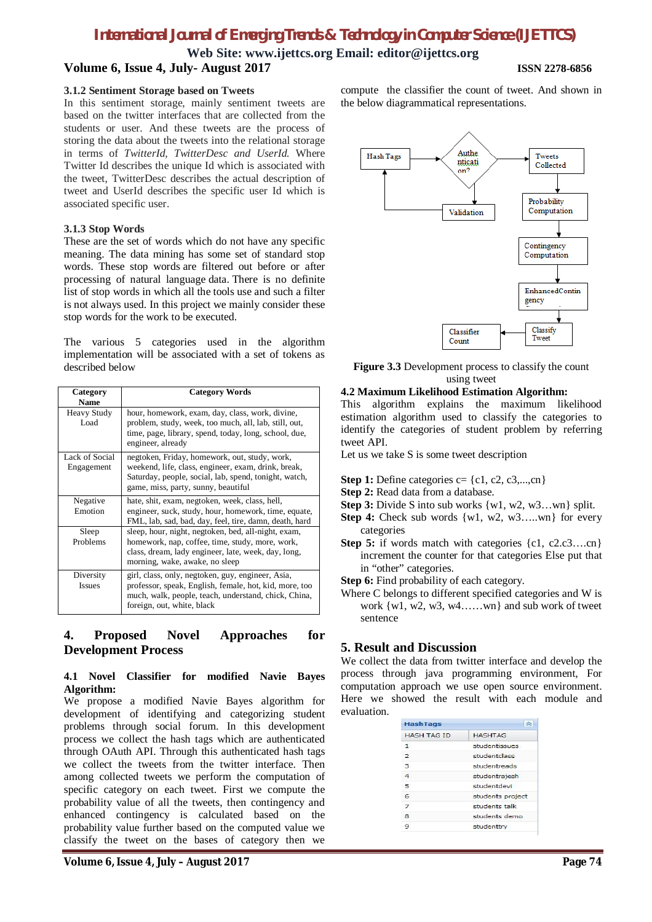**Web Site: www.ijettcs.org Email: editor@ijettcs.org Volume 6, Issue 4, July- August 2017 ISSN 2278-6856**

#### **3.1.2 Sentiment Storage based on Tweets**

In this sentiment storage, mainly sentiment tweets are based on the twitter interfaces that are collected from the students or user. And these tweets are the process of storing the data about the tweets into the relational storage in terms of *TwitterId, TwitterDesc and UserId.* Where Twitter Id describes the unique Id which is associated with the tweet, TwitterDesc describes the actual description of tweet and UserId describes the specific user Id which is associated specific user.

### **3.1.3 Stop Words**

These are the set of words which do not have any specific meaning. The data mining has some set of standard stop words. These stop words are filtered out before or after processing of natural language data. There is no definite list of stop words in which all the tools use and such a filter is not always used. In this project we mainly consider these stop words for the work to be executed.

The various 5 categories used in the algorithm implementation will be associated with a set of tokens as described below

| Category<br><b>Name</b>      | <b>Category Words</b>                                                                                                                                                                                |
|------------------------------|------------------------------------------------------------------------------------------------------------------------------------------------------------------------------------------------------|
| <b>Heavy Study</b><br>Load   | hour, homework, exam, day, class, work, divine,<br>problem, study, week, too much, all, lab, still, out,<br>time, page, library, spend, today, long, school, due,<br>engineer, already               |
| Lack of Social<br>Engagement | negtoken, Friday, homework, out, study, work,<br>weekend, life, class, engineer, exam, drink, break,<br>Saturday, people, social, lab, spend, tonight, watch,<br>game, miss, party, sunny, beautiful |
| Negative<br>Emotion          | hate, shit, exam, negtoken, week, class, hell,<br>engineer, suck, study, hour, homework, time, equate,<br>FML, lab, sad, bad, day, feel, tire, damn, death, hard                                     |
| Sleep<br>Problems            | sleep, hour, night, negtoken, bed, all-night, exam,<br>homework, nap, coffee, time, study, more, work,<br>class, dream, lady engineer, late, week, day, long,<br>morning, wake, awake, no sleep      |
| Diversity<br><b>Issues</b>   | girl, class, only, negtoken, guy, engineer, Asia,<br>professor, speak, English, female, hot, kid, more, too<br>much, walk, people, teach, understand, chick, China,<br>foreign, out, white, black    |

## **4. Proposed Novel Approaches for Development Process**

### **4.1 Novel Classifier for modified Navie Bayes Algorithm:**

We propose a modified Navie Bayes algorithm for development of identifying and categorizing student problems through social forum. In this development process we collect the hash tags which are authenticated through OAuth API. Through this authenticated hash tags we collect the tweets from the twitter interface. Then among collected tweets we perform the computation of specific category on each tweet. First we compute the probability value of all the tweets, then contingency and enhanced contingency is calculated based on the probability value further based on the computed value we classify the tweet on the bases of category then we

compute the classifier the count of tweet. And shown in the below diagrammatical representations.



**Figure 3.3** Development process to classify the count using tweet

### **4.2 Maximum Likelihood Estimation Algorithm:**

This algorithm explains the maximum likelihood estimation algorithm used to classify the categories to identify the categories of student problem by referring tweet API.

Let us we take S is some tweet description

- **Step 1:** Define categories  $c = \{c1, c2, c3, \dots, cn\}$
- **Step 2:** Read data from a database.
- **Step 3:** Divide S into sub works  $\{w1, w2, w3...$  plit.
- **Step 4:** Check sub words  $\{w1, w2, w3...$  wn  $\}$  for every categories
- **Step 5:** if words match with categories  $\{c1, c2.c3....cn\}$ increment the counter for that categories Else put that in "other" categories.
- **Step 6:** Find probability of each category.
- Where C belongs to different specified categories and W is work {w1, w2, w3, w4……wn} and sub work of tweet sentence

## **5. Result and Discussion**

We collect the data from twitter interface and develop the process through java programming environment, For computation approach we use open source environment. Here we showed the result with each module and evaluation.

| <b>HashTags</b>    |                  |
|--------------------|------------------|
| <b>HASH TAG ID</b> | <b>HASHTAG</b>   |
| $\mathbf{1}$       | studentissues    |
| $\overline{2}$     | studentclass     |
| 3.                 | studentreads     |
| $\overline{4}$     | studentrajesh    |
| $\overline{a}$     | studentdevi      |
| 6                  | students project |
| $\overline{ }$     | students talk    |
| 8                  | students demo    |
| ۰                  | studenttry       |
|                    |                  |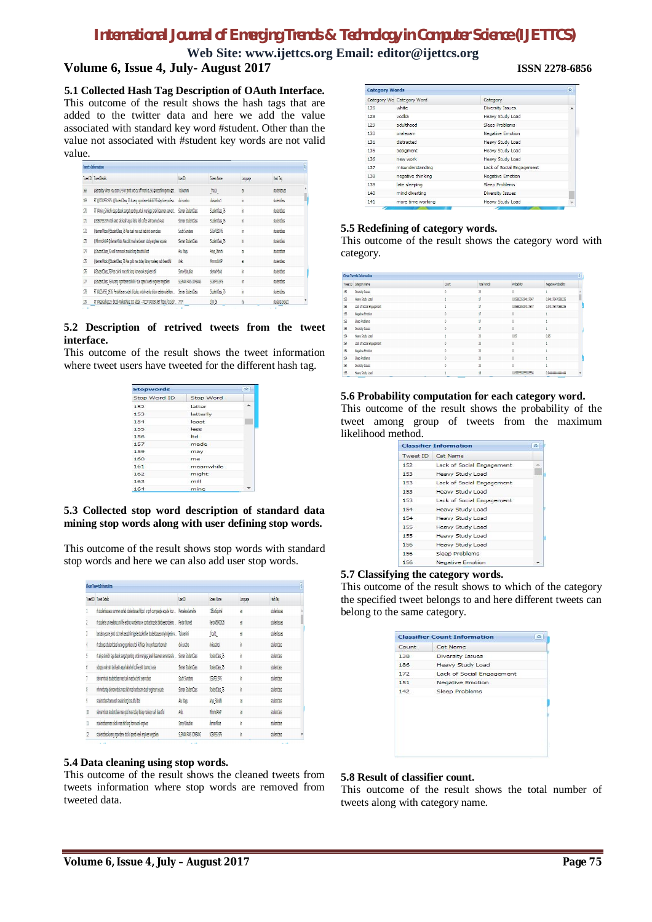**Web Site: www.ijettcs.org Email: editor@ijettcs.org Volume 6, Issue 4, July- August 2017 ISSN 2278-6856**

## **5.1 Collected Hash Tag Description of OAuth Interface.**

This outcome of the result shows the hash tags that are added to the twitter data and here we add the value associated with standard key word #student. Other than the value not associated with #student key words are not valid value.

|                | <b>Tueets Information</b>                                                                              |                     |                 |          |                  | Ä |
|----------------|--------------------------------------------------------------------------------------------------------|---------------------|-----------------|----------|------------------|---|
|                | Tweet <b>ID</b> Tweet Details                                                                          | User ID             | Screen Name     | Language | liast Tag        |   |
| 168            | @Barzaboy When you score 249 in jamb and cut off mark is 250 @secschlinnigeria @st Toluvanimi          |                     | frout!          | ä        | studentssues     |   |
| 169            | RT @SCBVPSS1976: @StudentClass 76 Kurang ngombene tok 607? Friday time profess                         | dui suratro         | dvisyratro1     | 'n       | studentdass      |   |
| 17)            | RT @Ariya Shinichi: Laga besok sangat penting untuk menjaga jarak klasernen sement Sleman StudentClass |                     | StudentClass 76 | 'n       | stutentdass      |   |
| m              | @SCBIPSS1976 Wah sin(2 tak kasih agua haha hell coffee shit toomuch Asia                               | Sleman StudentClass | StudentClass 76 | 'n       | studentiass      |   |
| 172            | @slemanMoois @StudentClass 76 Mas tuak mas out bed shit exam class                                     | South Sumatera      | \$\$\$05\$1976  | 'n       | studentdass      |   |
| $\overline{1}$ | 8Mhmmd4ri4P @slemanMbois Mas duit mas hard exam study engineer equate                                  | Sleman StudentClass | StudentClass 76 | 'n       | subtetute        |   |
| 174            | @StudentClass_76 well homework awake long beautiful bed                                                | Ap Wag              | Ariva Shinichi  | ä        | studentiass      |   |
| 175            | @slemanMoois @StudentClass 76 Mas cold mas today library nosleep rush beautiful                        | ket.                | Morrow!         | ë1       | studentiass      |   |
| t76            | @StudentClass 76 Mas culork mas shit long homework engineer still                                      | Samp4tilgabisa      | slemanMode      | 'n       | ashtetub         |   |
| 177            | @StudentClass 76 Kurang noombene tok iki?? due spend week engineer negtoken                            | SLEMAN FANS JONBANG | SCR/PS51976     | 'n       | studentdass      |   |
| 178            | RT @LCSiPS5 1976: Pendaftaran sudah di buka, untuk wanita tribun selatan silahkan                      | Sleman StudentClass | StudentClass 76 | 'n       | studentiess      |   |
| 179            | RT @Kagnachei123: bit3dx MarketPlace 300 added - #ICOTRACKER.NET https://t.co/dV 77777                 |                     | dNHB            | fü       | students protect |   |

## **5.2 Description of retrived tweets from the tweet interface.**

This outcome of the result shows the tweet information where tweet users have tweeted for the different hash tag.

| <b>Stopwords</b> |           | $\sim$ |
|------------------|-----------|--------|
| Stop Word ID     | Stop Word |        |
| 152              | latter    | ۰      |
| 153              | latterly  |        |
| 154              | least     |        |
| 155              | less      |        |
| 156              | ltd.      |        |
| 157              | made      |        |
| 159              | may.      |        |
| 160              | me        |        |
| 161              | meanwhile |        |
| 162              | might     |        |
| 163              | mill      |        |
| 164              | mine      |        |

## **5.3 Collected stop word description of standard data mining stop words along with user defining stop words.**

This outcome of the result shows stop words with standard stop words and here we can also add user stop words.

|              | <b>Clean Tweets Information</b>                                                           |                     |                 |          |               | À |
|--------------|-------------------------------------------------------------------------------------------|---------------------|-----------------|----------|---------------|---|
|              | Tweet 10 Tweet Details                                                                    | ller ID             | Soven Name      | Larguage | Had Tag       |   |
|              | it studentissues is summer sorted studentissues https tiw oxhi cuvil people equate hour   | Mercelena Lemaitre  | 11Blusburnel    | ä        | studentisques |   |
| ı            | it students uni realising uni life ending wondering ve contracting stis thirdyearproblems | Payton Burnett      | Pavton@5900636  | e.       | studentistes  |   |
| ĵ            | barzabov score jamb cut mark secschlinnigeria studentlive studentissues onlyinnigeria vu  | Towanni             | frout           | ë        | studentisques |   |
| ł            | rt schrass studentclass kurang noombene tak iki friday time professor toomuch             | dvi suratno         | dvisuratrol     | 'n       | strictes      |   |
| ş.           | nt anya shinichi laga besok sangat penting untuk menjaga jarak klasemen sementara le      | Sleman StudentClass | StudentClass 76 | 'n       | studentnlass  |   |
| 6            | schopss vah sini tak kasih agua haha hell coffee shit toomuch asia                        | Sleman StudentClass | StudentClass 76 | 'n       | dubtitles     |   |
|              | demannings studentdass mas tuak mas hed shit exam dass.                                   | Soft Syndera        | 902295797       | 'n       | striction     |   |
| 8            | mhmmdariap siemanmbois mas duit mas hard exam study engineer equate                       | Sleman StudentClass | StudentClass 76 | 'n       | stubrities    |   |
| ŷ            | studentdass homework awake long beautiful bed                                             | Alu Wagu            | Aria Shiridi    | ë        | stubrities    |   |
| 11           | slemannbois studentdass mas cold mas today library nosleep rush beautiful                 | kel.                | Whandlai        | ë        | striction     |   |
| 11           | studentdass mas culorik mas shit long homework engineer                                   | Samp4tiloubise      | demanMbois      | 'n       | striction     |   |
| $\mathbf{1}$ | studentdass kurang ngombene tok iki spend week engineer negtoken                          | SLEMAN FANS JOMBANG | SCBIPS51976     | 'n       | subttes       |   |
|              | <b>STAR</b>                                                                               |                     |                 |          |               |   |

## **5.4 Data cleaning using stop words.**

This outcome of the result shows the cleaned tweets from tweets information where stop words are removed from tweeted data.

| <b>Category Words</b> |                           |                           | 슷 |
|-----------------------|---------------------------|---------------------------|---|
|                       | Category Wo Category Word | Category                  |   |
| 126                   | white                     | <b>Diversity Issues</b>   |   |
| 128                   | vodka                     | Heavy Study Load          |   |
| 129                   | adulthood                 | Sleep Problems            |   |
| 130                   | oralexam                  | <b>Negative Emotion</b>   |   |
| 131                   | distracted                | Heavy Study Load          |   |
| 135                   | assigment                 | Heavy Study Load          |   |
| 136                   | new work                  | Heavy Study Load          |   |
| 137                   | misunderstanding          | Lack of Social Engagement |   |
| 138                   | negative thinking         | <b>Negative Emotion</b>   |   |
| 139                   | late sleeping             | Sleep Problems            |   |
| 140                   | mind diverting            | <b>Diversity Issues</b>   |   |
| 141                   | more time working         | Heavy Study Load          |   |
|                       |                           |                           |   |

## **5.5 Redefining of category words.**

This outcome of the result shows the category word with category.

|     | <b>Clean Tweets Information</b> |       |                    |                    |                      | 図 |
|-----|---------------------------------|-------|--------------------|--------------------|----------------------|---|
|     | Tweet ID Category Name          | Count | <b>Total Words</b> | <b>Probability</b> | Necative Probability |   |
| 152 | <b>Diversity Issues</b>         |       | 23                 |                    |                      |   |
| 153 | Heavy Study Load                |       | 17                 | 0.0588235294117647 | 0.941176470588235    |   |
| 153 | Lack of Social Engagement       |       | $\overline{17}$    | 0.0588235294117647 | 0.941176470588235    |   |
| 153 | Negative Emotion                |       | $\overline{1}$     |                    |                      |   |
| 153 | Sleep Problems                  |       | $\overline{1}$     |                    |                      |   |
| 153 | Diversity Issues                |       | $\overline{17}$    |                    |                      |   |
| 154 | Heavy Study Load                |       | 25                 | 0.05               | 0.55                 |   |
| 154 | Lack of Social Engagement       |       | 20                 |                    |                      |   |
| 154 | Negative Emotion                |       | 25                 |                    |                      |   |
| 154 | Sleep Problems                  |       | 20                 |                    |                      |   |
| 154 | Diversity Issues                |       | 20                 |                    |                      |   |
| 155 | Heavy Study Load                |       | 18                 | 0.0555555555555556 |                      |   |

### **5.6 Probability computation for each category word.**

This outcome of the result shows the probability of the tweet among group of tweets from the maximum likelihood method.

|     | <b>Classifier Information</b> | 소   |
|-----|-------------------------------|-----|
|     | Tweet ID Cat Name             |     |
| 152 | Lack of Social Engagement     | ab. |
| 153 | <b>Heavy Study Load</b>       |     |
| 153 | Lack of Social Engagement     |     |
| 153 | <b>Heavy Study Load</b>       |     |
| 153 | Lack of Social Engagement     |     |
| 154 | Heavy Study Load              |     |
| 154 | Heavy Study Load              |     |
| 155 | Heavy Study Load              |     |
| 155 | Heavy Study Load              |     |
| 156 | Heavy Study Load              |     |
| 156 | Sleep Problems                |     |
| 156 | <b>Negative Emotion</b>       |     |

## **5.7 Classifying the category words.**

This outcome of the result shows to which of the category the specified tweet belongs to and here different tweets can belong to the same category.

| Count | Cat Name                  |
|-------|---------------------------|
| 138   | <b>Diversity Issues</b>   |
| 186   | Heavy Study Load          |
| 172   | Lack of Social Engagement |
| 151   | Negative Emotion          |
| 142   | Sleep Problems            |
|       |                           |
|       |                           |
|       |                           |
|       |                           |

## **5.8 Result of classifier count.**

This outcome of the result shows the total number of tweets along with category name.